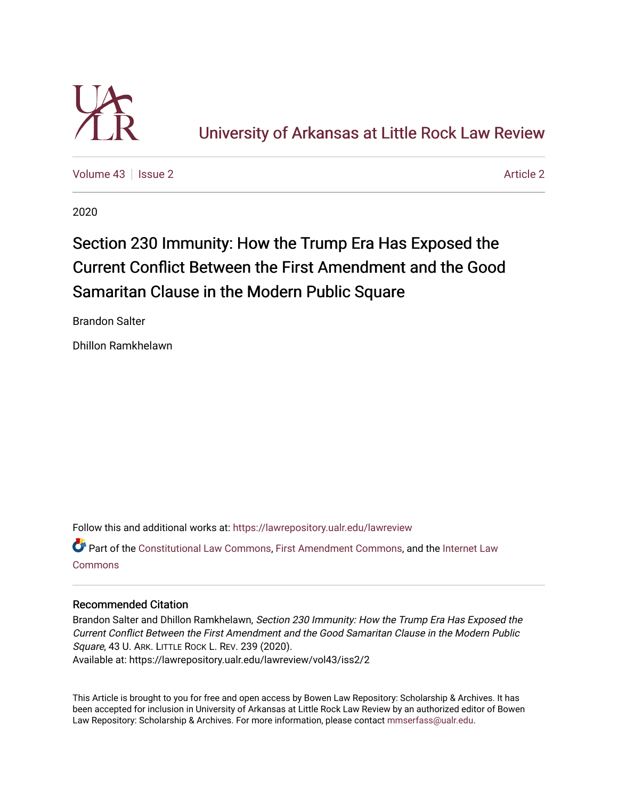

[Volume 43](https://lawrepository.ualr.edu/lawreview/vol43) | [Issue 2](https://lawrepository.ualr.edu/lawreview/vol43/iss2) [Article 2](https://lawrepository.ualr.edu/lawreview/vol43/iss2/2) Article 2 Article 2 Article 2 Article 2 Article 2 Article 2

2020

# Section 230 Immunity: How the Trump Era Has Exposed the Current Conflict Between the First Amendment and the Good Samaritan Clause in the Modern Public Square

Brandon Salter

Dhillon Ramkhelawn

Follow this and additional works at: [https://lawrepository.ualr.edu/lawreview](https://lawrepository.ualr.edu/lawreview?utm_source=lawrepository.ualr.edu%2Flawreview%2Fvol43%2Fiss2%2F2&utm_medium=PDF&utm_campaign=PDFCoverPages) 

Part of the [Constitutional Law Commons,](https://network.bepress.com/hgg/discipline/589?utm_source=lawrepository.ualr.edu%2Flawreview%2Fvol43%2Fiss2%2F2&utm_medium=PDF&utm_campaign=PDFCoverPages) [First Amendment Commons,](https://network.bepress.com/hgg/discipline/1115?utm_source=lawrepository.ualr.edu%2Flawreview%2Fvol43%2Fiss2%2F2&utm_medium=PDF&utm_campaign=PDFCoverPages) and the [Internet Law](https://network.bepress.com/hgg/discipline/892?utm_source=lawrepository.ualr.edu%2Flawreview%2Fvol43%2Fiss2%2F2&utm_medium=PDF&utm_campaign=PDFCoverPages)  [Commons](https://network.bepress.com/hgg/discipline/892?utm_source=lawrepository.ualr.edu%2Flawreview%2Fvol43%2Fiss2%2F2&utm_medium=PDF&utm_campaign=PDFCoverPages)

# Recommended Citation

Brandon Salter and Dhillon Ramkhelawn, Section 230 Immunity: How the Trump Era Has Exposed the Current Conflict Between the First Amendment and the Good Samaritan Clause in the Modern Public Square, 43 U. ARK. LITTLE ROCK L. REV. 239 (2020). Available at: https://lawrepository.ualr.edu/lawreview/vol43/iss2/2

This Article is brought to you for free and open access by Bowen Law Repository: Scholarship & Archives. It has been accepted for inclusion in University of Arkansas at Little Rock Law Review by an authorized editor of Bowen Law Repository: Scholarship & Archives. For more information, please contact [mmserfass@ualr.edu](mailto:mmserfass@ualr.edu).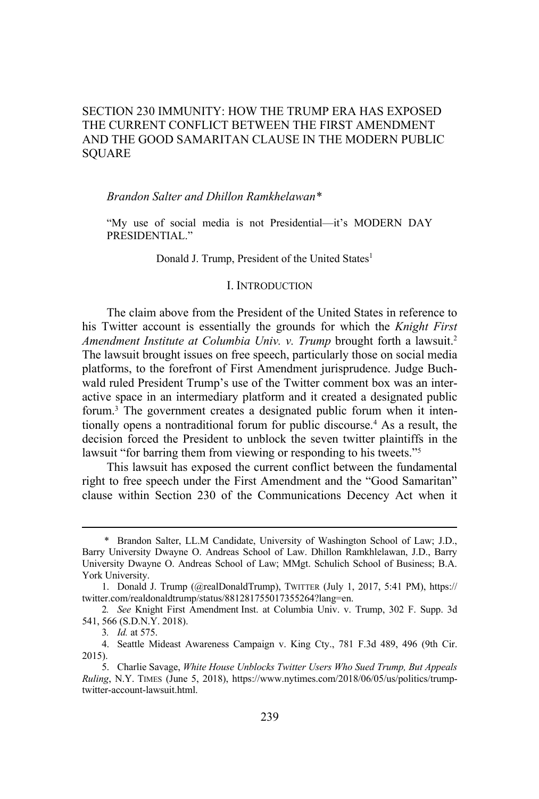# SECTION 230 IMMUNITY: HOW THE TRUMP ERA HAS EXPOSED THE CURRENT CONFLICT BETWEEN THE FIRST AMENDMENT AND THE GOOD SAMARITAN CLAUSE IN THE MODERN PUBLIC SQUARE

# *Brandon Salter and Dhillon Ramkhelawan\**

"My use of social media is not Presidential—it's MODERN DAY PRESIDENTIAL."

Donald J. Trump, President of the United States<sup>1</sup>

# I. INTRODUCTION

The claim above from the President of the United States in reference to his Twitter account is essentially the grounds for which the *Knight First Amendment Institute at Columbia Univ. v. Trump* brought forth a lawsuit.2 The lawsuit brought issues on free speech, particularly those on social media platforms, to the forefront of First Amendment jurisprudence. Judge Buchwald ruled President Trump's use of the Twitter comment box was an interactive space in an intermediary platform and it created a designated public forum.3 The government creates a designated public forum when it intentionally opens a nontraditional forum for public discourse.<sup>4</sup> As a result, the decision forced the President to unblock the seven twitter plaintiffs in the lawsuit "for barring them from viewing or responding to his tweets."<sup>5</sup>

This lawsuit has exposed the current conflict between the fundamental right to free speech under the First Amendment and the "Good Samaritan" clause within Section 230 of the Communications Decency Act when it

<sup>\*</sup> Brandon Salter, LL.M Candidate, University of Washington School of Law; J.D., Barry University Dwayne O. Andreas School of Law. Dhillon Ramkhlelawan, J.D., Barry University Dwayne O. Andreas School of Law; MMgt. Schulich School of Business; B.A. York University.

<sup>1.</sup> Donald J. Trump (@realDonaldTrump), TWITTER (July 1, 2017, 5:41 PM), https:// twitter.com/realdonaldtrump/status/881281755017355264?lang=en.

<sup>2</sup>*. See* Knight First Amendment Inst. at Columbia Univ. v. Trump, 302 F. Supp. 3d 541, 566 (S.D.N.Y. 2018).

<sup>3</sup>*. Id.* at 575.

<sup>4.</sup> Seattle Mideast Awareness Campaign v. King Cty., 781 F.3d 489, 496 (9th Cir. 2015).

<sup>5.</sup> Charlie Savage, *White House Unblocks Twitter Users Who Sued Trump, But Appeals Ruling*, N.Y. TIMES (June 5, 2018), https://www.nytimes.com/2018/06/05/us/politics/trumptwitter-account-lawsuit.html.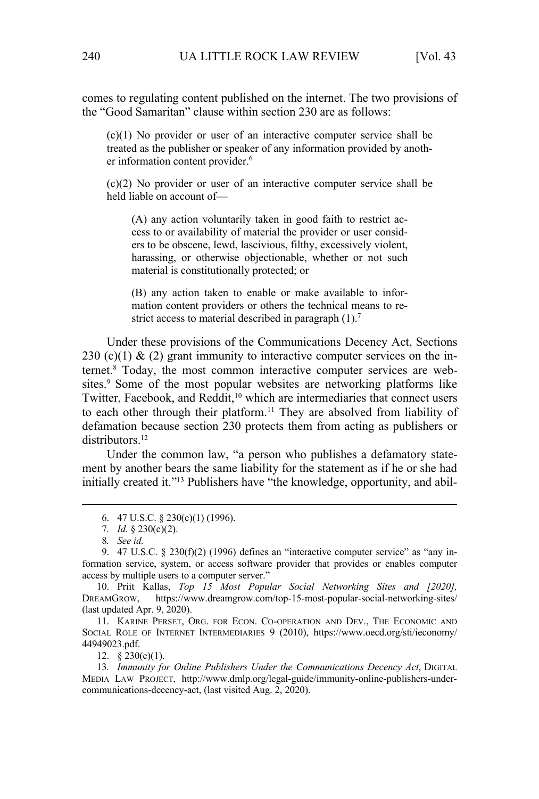comes to regulating content published on the internet. The two provisions of the "Good Samaritan" clause within section 230 are as follows:

(c)(1) No provider or user of an interactive computer service shall be treated as the publisher or speaker of any information provided by another information content provider.<sup>6</sup>

(c)(2) No provider or user of an interactive computer service shall be held liable on account of—

(A) any action voluntarily taken in good faith to restrict access to or availability of material the provider or user considers to be obscene, lewd, lascivious, filthy, excessively violent, harassing, or otherwise objectionable, whether or not such material is constitutionally protected; or

(B) any action taken to enable or make available to information content providers or others the technical means to restrict access to material described in paragraph  $(1)$ .<sup>7</sup>

Under these provisions of the Communications Decency Act, Sections 230 (c)(1) & (2) grant immunity to interactive computer services on the internet.8 Today, the most common interactive computer services are websites.<sup>9</sup> Some of the most popular websites are networking platforms like Twitter, Facebook, and Reddit,<sup>10</sup> which are intermediaries that connect users to each other through their platform.<sup>11</sup> They are absolved from liability of defamation because section 230 protects them from acting as publishers or distributors.<sup>12</sup>

Under the common law, "a person who publishes a defamatory statement by another bears the same liability for the statement as if he or she had initially created it."<sup>13</sup> Publishers have "the knowledge, opportunity, and abil-

12. § 230(c)(1).

13*. Immunity for Online Publishers Under the Communications Decency Act*, DIGITAL MEDIA LAW PROJECT, http://www.dmlp.org/legal-guide/immunity-online-publishers-undercommunications-decency-act, (last visited Aug. 2, 2020).

<sup>6. 47</sup> U.S.C. § 230(c)(1) (1996).

<sup>7</sup>*. Id.* § 230(c)(2).

<sup>8</sup>*. See id.*

<sup>9. 47</sup> U.S.C. § 230(f)(2) (1996) defines an "interactive computer service" as "any information service, system, or access software provider that provides or enables computer access by multiple users to a computer server."

<sup>10.</sup> Priit Kallas, *Top 15 Most Popular Social Networking Sites and [2020],*  DREAMGROW, https://www.dreamgrow.com/top-15-most-popular-social-networking-sites/ (last updated Apr. 9, 2020).

<sup>11.</sup> KARINE PERSET, ORG. FOR ECON. CO-OPERATION AND DEV., THE ECONOMIC AND SOCIAL ROLE OF INTERNET INTERMEDIARIES 9 (2010), https://www.oecd.org/sti/ieconomy/ 44949023.pdf.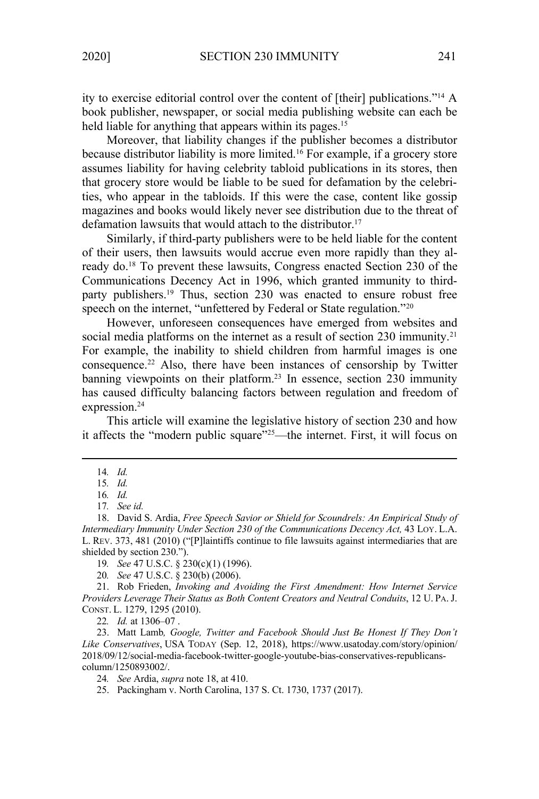ity to exercise editorial control over the content of [their] publications."14 A book publisher, newspaper, or social media publishing website can each be held liable for anything that appears within its pages.<sup>15</sup>

Moreover, that liability changes if the publisher becomes a distributor because distributor liability is more limited.<sup>16</sup> For example, if a grocery store assumes liability for having celebrity tabloid publications in its stores, then that grocery store would be liable to be sued for defamation by the celebrities, who appear in the tabloids. If this were the case, content like gossip magazines and books would likely never see distribution due to the threat of defamation lawsuits that would attach to the distributor.<sup>17</sup>

Similarly, if third-party publishers were to be held liable for the content of their users, then lawsuits would accrue even more rapidly than they already do.<sup>18</sup> To prevent these lawsuits, Congress enacted Section 230 of the Communications Decency Act in 1996, which granted immunity to thirdparty publishers.<sup>19</sup> Thus, section 230 was enacted to ensure robust free speech on the internet, "unfettered by Federal or State regulation."<sup>20</sup>

However, unforeseen consequences have emerged from websites and social media platforms on the internet as a result of section  $230$  immunity.<sup>21</sup> For example, the inability to shield children from harmful images is one consequence.22 Also, there have been instances of censorship by Twitter banning viewpoints on their platform.<sup>23</sup> In essence, section 230 immunity has caused difficulty balancing factors between regulation and freedom of expression.<sup>24</sup>

This article will examine the legislative history of section 230 and how it affects the "modern public square"25—the internet. First, it will focus on

22*. Id.* at 1306–07 .

23. Matt Lamb*, Google, Twitter and Facebook Should Just Be Honest If They Don't Like Conservatives*, USA TODAY (Sep. 12, 2018), https://www.usatoday.com/story/opinion/ 2018/09/12/social-media-facebook-twitter-google-youtube-bias-conservatives-republicanscolumn/1250893002/.

<sup>14</sup>*. Id.*

<sup>15</sup>*. Id.* 

<sup>16</sup>*. Id.*

<sup>17</sup>*. See id.* 

<sup>18.</sup> David S. Ardia, *Free Speech Savior or Shield for Scoundrels: An Empirical Study of Intermediary Immunity Under Section 230 of the Communications Decency Act, 43 LOY. L.A.* L. REV. 373, 481 (2010) ("[P]laintiffs continue to file lawsuits against intermediaries that are shielded by section 230.").

<sup>19</sup>*. See* 47 U.S.C. § 230(c)(1) (1996).

<sup>20</sup>*. See* 47 U.S.C. § 230(b) (2006).

<sup>21.</sup> Rob Frieden, *Invoking and Avoiding the First Amendment: How Internet Service Providers Leverage Their Status as Both Content Creators and Neutral Conduits*, 12 U. PA.J. CONST. L. 1279, 1295 (2010).

<sup>24</sup>*. See* Ardia, *supra* note 18, at 410.

<sup>25.</sup> Packingham v. North Carolina, 137 S. Ct. 1730, 1737 (2017).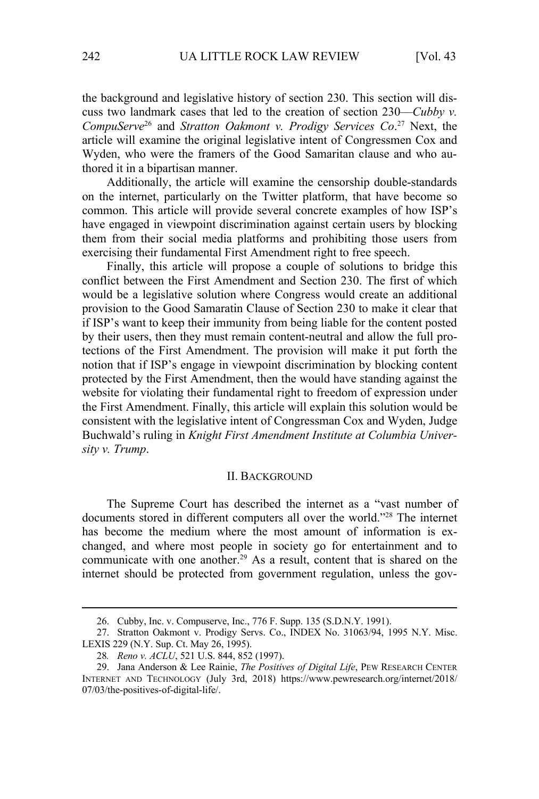the background and legislative history of section 230. This section will discuss two landmark cases that led to the creation of section 230—*Cubby v. CompuServe*26 and *Stratton Oakmont v. Prodigy Services Co*. 27 Next, the article will examine the original legislative intent of Congressmen Cox and Wyden, who were the framers of the Good Samaritan clause and who authored it in a bipartisan manner.

Additionally, the article will examine the censorship double-standards on the internet, particularly on the Twitter platform, that have become so common. This article will provide several concrete examples of how ISP's have engaged in viewpoint discrimination against certain users by blocking them from their social media platforms and prohibiting those users from exercising their fundamental First Amendment right to free speech.

Finally, this article will propose a couple of solutions to bridge this conflict between the First Amendment and Section 230. The first of which would be a legislative solution where Congress would create an additional provision to the Good Samaratin Clause of Section 230 to make it clear that if ISP's want to keep their immunity from being liable for the content posted by their users, then they must remain content-neutral and allow the full protections of the First Amendment. The provision will make it put forth the notion that if ISP's engage in viewpoint discrimination by blocking content protected by the First Amendment, then the would have standing against the website for violating their fundamental right to freedom of expression under the First Amendment. Finally, this article will explain this solution would be consistent with the legislative intent of Congressman Cox and Wyden, Judge Buchwald's ruling in *Knight First Amendment Institute at Columbia University v. Trump*.

#### II. BACKGROUND

The Supreme Court has described the internet as a "vast number of documents stored in different computers all over the world."28 The internet has become the medium where the most amount of information is exchanged, and where most people in society go for entertainment and to communicate with one another.<sup>29</sup> As a result, content that is shared on the internet should be protected from government regulation, unless the gov-

<sup>26.</sup> Cubby, Inc. v. Compuserve, Inc., 776 F. Supp. 135 (S.D.N.Y. 1991).

<sup>27.</sup> Stratton Oakmont v. Prodigy Servs. Co., INDEX No. 31063/94, 1995 N.Y. Misc. LEXIS 229 (N.Y. Sup. Ct. May 26, 1995).

<sup>28</sup>*. Reno v. ACLU*, 521 U.S. 844, 852 (1997).

<sup>29.</sup> Jana Anderson & Lee Rainie, *The Positives of Digital Life*, PEW RESEARCH CENTER INTERNET AND TECHNOLOGY (July 3rd, 2018) https://www.pewresearch.org/internet/2018/ 07/03/the-positives-of-digital-life/.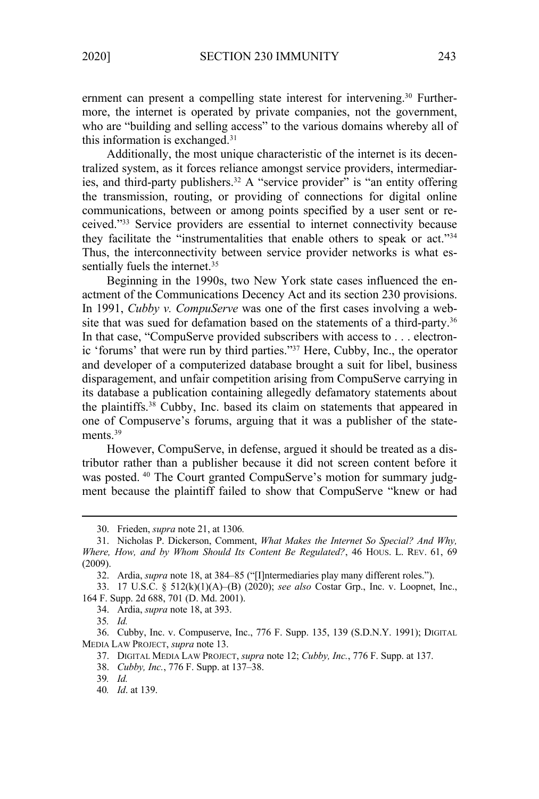ernment can present a compelling state interest for intervening.<sup>30</sup> Furthermore, the internet is operated by private companies, not the government, who are "building and selling access" to the various domains whereby all of this information is exchanged.31

Additionally, the most unique characteristic of the internet is its decentralized system, as it forces reliance amongst service providers, intermediaries, and third-party publishers.<sup>32</sup> A "service provider" is "an entity offering the transmission, routing, or providing of connections for digital online communications, between or among points specified by a user sent or received."33 Service providers are essential to internet connectivity because they facilitate the "instrumentalities that enable others to speak or act."34 Thus, the interconnectivity between service provider networks is what essentially fuels the internet.<sup>35</sup>

Beginning in the 1990s, two New York state cases influenced the enactment of the Communications Decency Act and its section 230 provisions. In 1991, *Cubby v. CompuServe* was one of the first cases involving a website that was sued for defamation based on the statements of a third-party.<sup>36</sup> In that case, "CompuServe provided subscribers with access to . . . electronic 'forums' that were run by third parties."37 Here, Cubby, Inc., the operator and developer of a computerized database brought a suit for libel, business disparagement, and unfair competition arising from CompuServe carrying in its database a publication containing allegedly defamatory statements about the plaintiffs.38 Cubby, Inc. based its claim on statements that appeared in one of Compuserve's forums, arguing that it was a publisher of the statements.<sup>39</sup>

However, CompuServe, in defense, argued it should be treated as a distributor rather than a publisher because it did not screen content before it was posted. <sup>40</sup> The Court granted CompuServe's motion for summary judgment because the plaintiff failed to show that CompuServe "knew or had

<sup>30.</sup> Frieden, *supra* note 21, at 1306*.* 

<sup>31.</sup> Nicholas P. Dickerson, Comment, *What Makes the Internet So Special? And Why, Where, How, and by Whom Should Its Content Be Regulated?*, 46 HOUS. L. REV. 61, 69 (2009).

<sup>32.</sup> Ardia, *supra* note 18, at 384–85 ("[I]ntermediaries play many different roles.").

<sup>33. 17</sup> U.S.C. § 512(k)(1)(A)–(B) (2020); *see also* Costar Grp., Inc. v. Loopnet, Inc., 164 F. Supp. 2d 688, 701 (D. Md. 2001).

<sup>34.</sup> Ardia, *supra* note 18, at 393.

<sup>35</sup>*. Id.* 

<sup>36.</sup> Cubby, Inc. v. Compuserve, Inc., 776 F. Supp. 135, 139 (S.D.N.Y. 1991); DIGITAL MEDIA LAW PROJECT, *supra* note 13.

<sup>37.</sup> DIGITAL MEDIA LAW PROJECT, *supra* note 12; *Cubby, Inc.*, 776 F. Supp. at 137.

<sup>38.</sup> *Cubby, Inc.*, 776 F. Supp. at 137–38.

<sup>39</sup>*. Id.*

<sup>40</sup>*. Id*. at 139.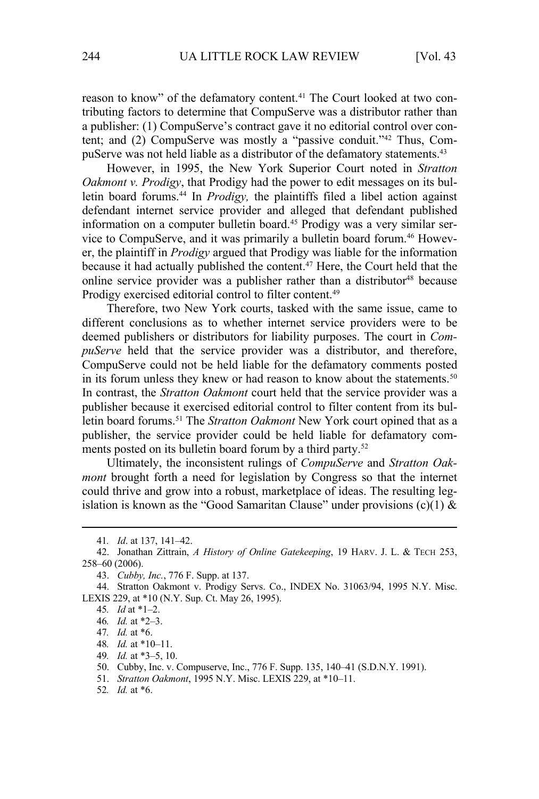reason to know" of the defamatory content.<sup>41</sup> The Court looked at two contributing factors to determine that CompuServe was a distributor rather than a publisher: (1) CompuServe's contract gave it no editorial control over content; and (2) CompuServe was mostly a "passive conduit."42 Thus, CompuServe was not held liable as a distributor of the defamatory statements.<sup>43</sup>

However, in 1995, the New York Superior Court noted in *Stratton Oakmont v. Prodigy*, that Prodigy had the power to edit messages on its bulletin board forums.<sup>44</sup> In *Prodigy*, the plaintiffs filed a libel action against defendant internet service provider and alleged that defendant published information on a computer bulletin board.<sup>45</sup> Prodigy was a very similar service to CompuServe, and it was primarily a bulletin board forum.<sup>46</sup> However, the plaintiff in *Prodigy* argued that Prodigy was liable for the information because it had actually published the content.47 Here, the Court held that the online service provider was a publisher rather than a distributor<sup>48</sup> because Prodigy exercised editorial control to filter content.<sup>49</sup>

Therefore, two New York courts, tasked with the same issue, came to different conclusions as to whether internet service providers were to be deemed publishers or distributors for liability purposes. The court in *CompuServe* held that the service provider was a distributor, and therefore, CompuServe could not be held liable for the defamatory comments posted in its forum unless they knew or had reason to know about the statements.<sup>50</sup> In contrast, the *Stratton Oakmont* court held that the service provider was a publisher because it exercised editorial control to filter content from its bulletin board forums.51 The *Stratton Oakmont* New York court opined that as a publisher, the service provider could be held liable for defamatory comments posted on its bulletin board forum by a third party.<sup>52</sup>

Ultimately, the inconsistent rulings of *CompuServe* and *Stratton Oakmont* brought forth a need for legislation by Congress so that the internet could thrive and grow into a robust, marketplace of ideas. The resulting legislation is known as the "Good Samaritan Clause" under provisions  $(c)(1)$  &

- 48*. Id.* at \*10–11.
- 49*. Id.* at \*3–5, 10.

51. *Stratton Oakmont*, 1995 N.Y. Misc. LEXIS 229, at \*10–11.

52*. Id.* at \*6.

<sup>41</sup>*. Id*. at 137, 141–42.

<sup>42.</sup> Jonathan Zittrain, *A History of Online Gatekeeping*, 19 HARV. J. L. & TECH 253, 258–60 (2006).

<sup>43.</sup> *Cubby, Inc.*, 776 F. Supp. at 137.

<sup>44.</sup> Stratton Oakmont v. Prodigy Servs. Co., INDEX No. 31063/94, 1995 N.Y. Misc. LEXIS 229, at \*10 (N.Y. Sup. Ct. May 26, 1995).

<sup>45</sup>*. Id* at \*1–2.

<sup>46</sup>*. Id.* at \*2–3.

<sup>47</sup>*. Id.* at \*6.

<sup>50.</sup> Cubby, Inc. v. Compuserve, Inc., 776 F. Supp. 135, 140–41 (S.D.N.Y. 1991).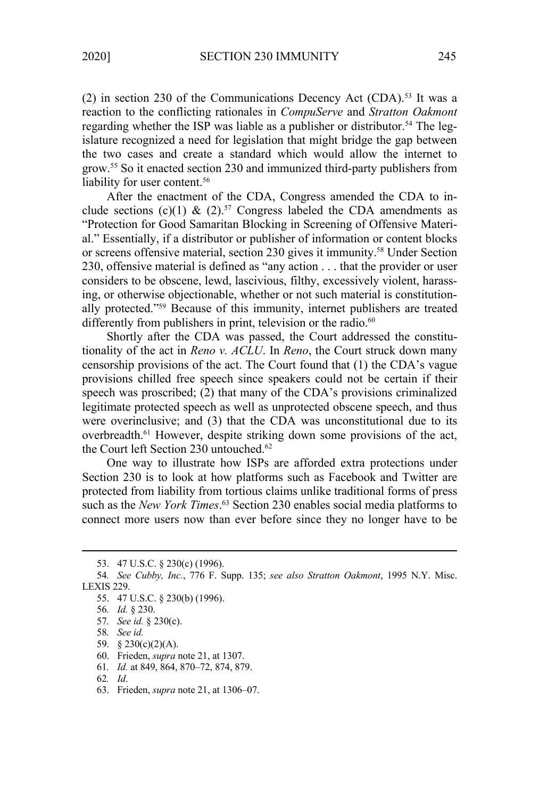(2) in section 230 of the Communications Decency Act (CDA).<sup>53</sup> It was a reaction to the conflicting rationales in *CompuServe* and *Stratton Oakmont*  regarding whether the ISP was liable as a publisher or distributor.<sup>54</sup> The legislature recognized a need for legislation that might bridge the gap between the two cases and create a standard which would allow the internet to grow.55 So it enacted section 230 and immunized third-party publishers from liability for user content.<sup>56</sup>

After the enactment of the CDA, Congress amended the CDA to include sections (c)(1) & (2).<sup>57</sup> Congress labeled the CDA amendments as "Protection for Good Samaritan Blocking in Screening of Offensive Material." Essentially, if a distributor or publisher of information or content blocks or screens offensive material, section 230 gives it immunity.<sup>58</sup> Under Section 230, offensive material is defined as "any action . . . that the provider or user considers to be obscene, lewd, lascivious, filthy, excessively violent, harassing, or otherwise objectionable, whether or not such material is constitutionally protected."59 Because of this immunity, internet publishers are treated differently from publishers in print, television or the radio. $60$ 

Shortly after the CDA was passed, the Court addressed the constitutionality of the act in *Reno v. ACLU*. In *Reno*, the Court struck down many censorship provisions of the act. The Court found that (1) the CDA's vague provisions chilled free speech since speakers could not be certain if their speech was proscribed; (2) that many of the CDA's provisions criminalized legitimate protected speech as well as unprotected obscene speech, and thus were overinclusive; and (3) that the CDA was unconstitutional due to its overbreadth.61 However, despite striking down some provisions of the act, the Court left Section 230 untouched.<sup>62</sup>

One way to illustrate how ISPs are afforded extra protections under Section 230 is to look at how platforms such as Facebook and Twitter are protected from liability from tortious claims unlike traditional forms of press such as the *New York Times*. 63 Section 230 enables social media platforms to connect more users now than ever before since they no longer have to be

- 59. § 230(c)(2)(A).
- 60. Frieden, *supra* note 21, at 1307.
- 61*. Id.* at 849, 864, 870–72, 874, 879.

63. Frieden, *supra* note 21, at 1306–07.

<sup>53. 47</sup> U.S.C. § 230(c) (1996).

<sup>54</sup>*. See Cubby, Inc.*, 776 F. Supp. 135; *see also Stratton Oakmont*, 1995 N.Y. Misc. LEXIS 229.

<sup>55. 47</sup> U.S.C. § 230(b) (1996).

<sup>56</sup>*. Id.* § 230.

<sup>57</sup>*. See id.* § 230(c).

<sup>58</sup>*. See id.*

<sup>62</sup>*. Id*.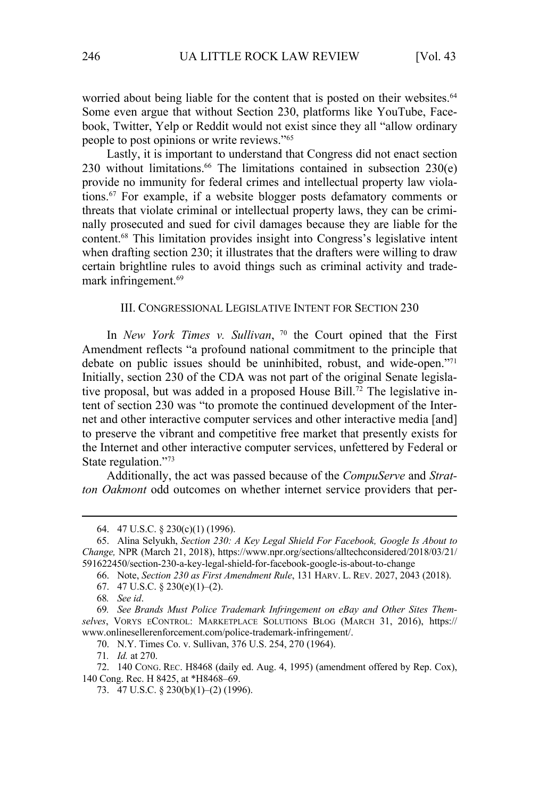worried about being liable for the content that is posted on their websites.<sup>64</sup> Some even argue that without Section 230, platforms like YouTube, Facebook, Twitter, Yelp or Reddit would not exist since they all "allow ordinary people to post opinions or write reviews."65

Lastly, it is important to understand that Congress did not enact section 230 without limitations. $66$  The limitations contained in subsection  $230(e)$ provide no immunity for federal crimes and intellectual property law violations.67 For example, if a website blogger posts defamatory comments or threats that violate criminal or intellectual property laws, they can be criminally prosecuted and sued for civil damages because they are liable for the content.68 This limitation provides insight into Congress's legislative intent when drafting section 230; it illustrates that the drafters were willing to draw certain brightline rules to avoid things such as criminal activity and trademark infringement.<sup>69</sup>

#### III. CONGRESSIONAL LEGISLATIVE INTENT FOR SECTION 230

In *New York Times v. Sullivan*, 70 the Court opined that the First Amendment reflects "a profound national commitment to the principle that debate on public issues should be uninhibited, robust, and wide-open."71 Initially, section 230 of the CDA was not part of the original Senate legislative proposal, but was added in a proposed House Bill.<sup>72</sup> The legislative intent of section 230 was "to promote the continued development of the Internet and other interactive computer services and other interactive media [and] to preserve the vibrant and competitive free market that presently exists for the Internet and other interactive computer services, unfettered by Federal or State regulation."<sup>73</sup>

Additionally, the act was passed because of the *CompuServe* and *Stratton Oakmont* odd outcomes on whether internet service providers that per-

<sup>64. 47</sup> U.S.C. § 230(c)(1) (1996).

<sup>65.</sup> Alina Selyukh, *Section 230: A Key Legal Shield For Facebook, Google Is About to Change,* NPR (March 21, 2018), https://www.npr.org/sections/alltechconsidered/2018/03/21/ 591622450/section-230-a-key-legal-shield-for-facebook-google-is-about-to-change

<sup>66.</sup> Note, *Section 230 as First Amendment Rule*, 131 HARV. L. REV. 2027, 2043 (2018).

<sup>67. 47</sup> U.S.C.  $\S 230(e)(1)–(2)$ .

<sup>68</sup>*. See id*.

<sup>69</sup>*. See Brands Must Police Trademark Infringement on eBay and Other Sites Themselves*, VORYS ECONTROL: MARKETPLACE SOLUTIONS BLOG (MARCH 31, 2016), https:// www.onlinesellerenforcement.com/police-trademark-infringement/.

<sup>70.</sup> N.Y. Times Co. v. Sullivan, 376 U.S. 254, 270 (1964).

<sup>71</sup>*. Id.* at 270.

<sup>72. 140</sup> CONG. REC. H8468 (daily ed. Aug. 4, 1995) (amendment offered by Rep. Cox), 140 Cong. Rec. H 8425, at \*H8468–69.

<sup>73. 47</sup> U.S.C. § 230(b)(1)–(2) (1996).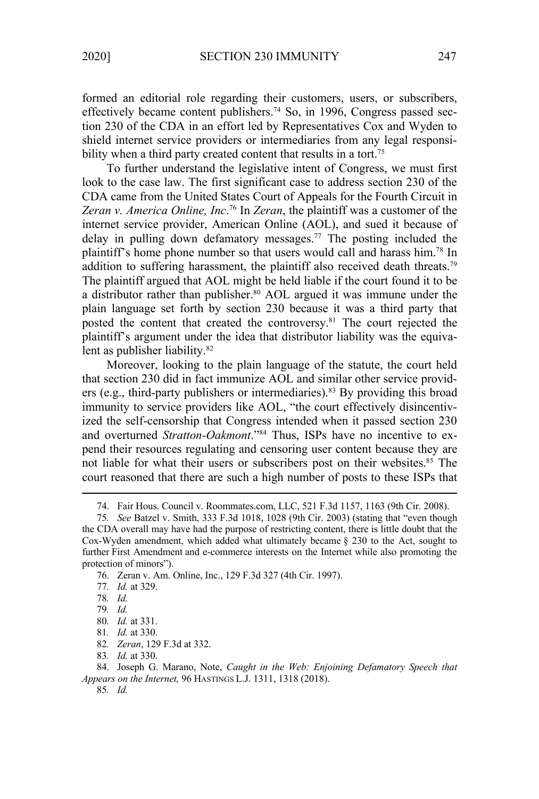formed an editorial role regarding their customers, users, or subscribers, effectively became content publishers.<sup>74</sup> So, in 1996, Congress passed section 230 of the CDA in an effort led by Representatives Cox and Wyden to shield internet service providers or intermediaries from any legal responsibility when a third party created content that results in a tort.<sup>75</sup>

To further understand the legislative intent of Congress, we must first look to the case law. The first significant case to address section 230 of the CDA came from the United States Court of Appeals for the Fourth Circuit in *Zeran v. America Online, Inc*. 76 In *Zeran*, the plaintiff was a customer of the internet service provider, American Online (AOL), and sued it because of delay in pulling down defamatory messages.77 The posting included the plaintiff's home phone number so that users would call and harass him.78 In addition to suffering harassment, the plaintiff also received death threats.<sup>79</sup> The plaintiff argued that AOL might be held liable if the court found it to be a distributor rather than publisher.<sup>80</sup> AOL argued it was immune under the plain language set forth by section 230 because it was a third party that posted the content that created the controversy.<sup>81</sup> The court rejected the plaintiff's argument under the idea that distributor liability was the equivalent as publisher liability.<sup>82</sup>

Moreover, looking to the plain language of the statute, the court held that section 230 did in fact immunize AOL and similar other service providers (e.g., third-party publishers or intermediaries).<sup>83</sup> By providing this broad immunity to service providers like AOL, "the court effectively disincentivized the self-censorship that Congress intended when it passed section 230 and overturned *Stratton-Oakmont*."84 Thus, ISPs have no incentive to expend their resources regulating and censoring user content because they are not liable for what their users or subscribers post on their websites.<sup>85</sup> The court reasoned that there are such a high number of posts to these ISPs that

<sup>74.</sup> Fair Hous. Council v. Roommates.com, LLC, 521 F.3d 1157, 1163 (9th Cir. 2008).

<sup>75</sup>*. See* Batzel v. Smith, 333 F.3d 1018, 1028 (9th Cir. 2003) (stating that "even though the CDA overall may have had the purpose of restricting content, there is little doubt that the Cox-Wyden amendment, which added what ultimately became § 230 to the Act, sought to further First Amendment and e-commerce interests on the Internet while also promoting the protection of minors").

<sup>76.</sup> Zeran v. Am. Online, Inc., 129 F.3d 327 (4th Cir. 1997).

<sup>77</sup>*. Id.* at 329.

<sup>78</sup>*. Id.*

<sup>79</sup>*. Id.*

<sup>80</sup>*. Id.* at 331.

<sup>81</sup>*. Id.* at 330.

<sup>82</sup>*. Zeran*, 129 F.3d at 332.

<sup>83</sup>*. Id.* at 330.

<sup>84.</sup> Joseph G. Marano, Note, *Caught in the Web: Enjoining Defamatory Speech that Appears on the Internet,* 96 HASTINGS L.J. 1311, 1318 (2018).

<sup>85</sup>*. Id.*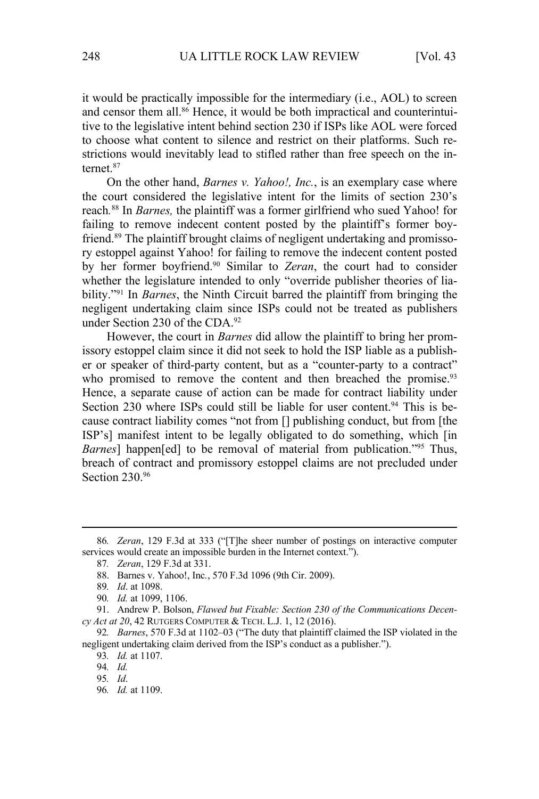it would be practically impossible for the intermediary (i.e., AOL) to screen and censor them all.<sup>86</sup> Hence, it would be both impractical and counterintuitive to the legislative intent behind section 230 if ISPs like AOL were forced to choose what content to silence and restrict on their platforms. Such restrictions would inevitably lead to stifled rather than free speech on the internet.87

On the other hand, *Barnes v. Yahoo!, Inc.*, is an exemplary case where the court considered the legislative intent for the limits of section 230's reach*.* 88 In *Barnes,* the plaintiff was a former girlfriend who sued Yahoo! for failing to remove indecent content posted by the plaintiff's former boyfriend.89 The plaintiff brought claims of negligent undertaking and promissory estoppel against Yahoo! for failing to remove the indecent content posted by her former boyfriend.90 Similar to *Zeran*, the court had to consider whether the legislature intended to only "override publisher theories of liability."91 In *Barnes*, the Ninth Circuit barred the plaintiff from bringing the negligent undertaking claim since ISPs could not be treated as publishers under Section 230 of the CDA.<sup>92</sup>

However, the court in *Barnes* did allow the plaintiff to bring her promissory estoppel claim since it did not seek to hold the ISP liable as a publisher or speaker of third-party content, but as a "counter-party to a contract" who promised to remove the content and then breached the promise.<sup>93</sup> Hence, a separate cause of action can be made for contract liability under Section 230 where ISPs could still be liable for user content.<sup>94</sup> This is because contract liability comes "not from [] publishing conduct, but from [the ISP's] manifest intent to be legally obligated to do something, which [in *Barnes*] happen[ed] to be removal of material from publication."<sup>95</sup> Thus, breach of contract and promissory estoppel claims are not precluded under Section 230.96

87*. Zeran*, 129 F.3d at 331.

<sup>86</sup>*. Zeran*, 129 F.3d at 333 ("[T]he sheer number of postings on interactive computer services would create an impossible burden in the Internet context.").

<sup>88.</sup> Barnes v. Yahoo!, Inc*.*, 570 F.3d 1096 (9th Cir. 2009).

<sup>89</sup>*. Id*. at 1098.

<sup>90</sup>*. Id.* at 1099, 1106.

<sup>91.</sup> Andrew P. Bolson, *Flawed but Fixable: Section 230 of the Communications Decency Act at 20*, 42 RUTGERS COMPUTER & TECH. L.J. 1, 12 (2016).

<sup>92</sup>*. Barnes*, 570 F.3d at 1102–03 ("The duty that plaintiff claimed the ISP violated in the negligent undertaking claim derived from the ISP's conduct as a publisher.").

<sup>93</sup>*. Id.* at 1107.

<sup>94</sup>*. Id.* 

<sup>95</sup>*. Id*.

<sup>96</sup>*. Id.* at 1109.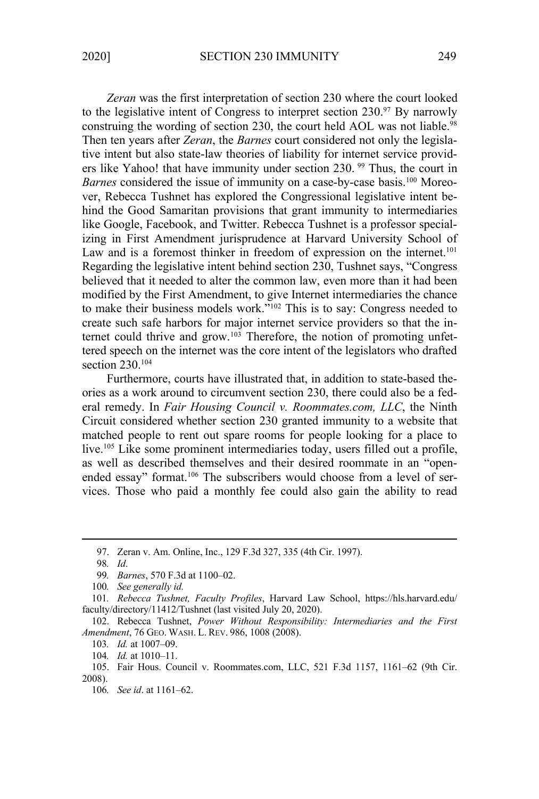*Zeran* was the first interpretation of section 230 where the court looked to the legislative intent of Congress to interpret section  $230$ .<sup>97</sup> By narrowly construing the wording of section 230, the court held AOL was not liable.<sup>98</sup> Then ten years after *Zeran*, the *Barnes* court considered not only the legislative intent but also state-law theories of liability for internet service providers like Yahoo! that have immunity under section 230.<sup>99</sup> Thus, the court in *Barnes* considered the issue of immunity on a case-by-case basis.<sup>100</sup> Moreover, Rebecca Tushnet has explored the Congressional legislative intent behind the Good Samaritan provisions that grant immunity to intermediaries like Google, Facebook, and Twitter. Rebecca Tushnet is a professor specializing in First Amendment jurisprudence at Harvard University School of Law and is a foremost thinker in freedom of expression on the internet.<sup>101</sup> Regarding the legislative intent behind section 230, Tushnet says, "Congress believed that it needed to alter the common law, even more than it had been modified by the First Amendment, to give Internet intermediaries the chance to make their business models work."102 This is to say: Congress needed to create such safe harbors for major internet service providers so that the internet could thrive and grow.<sup>103</sup> Therefore, the notion of promoting unfettered speech on the internet was the core intent of the legislators who drafted section 230.104

Furthermore, courts have illustrated that, in addition to state-based theories as a work around to circumvent section 230, there could also be a federal remedy. In *Fair Housing Council v. Roommates.com, LLC*, the Ninth Circuit considered whether section 230 granted immunity to a website that matched people to rent out spare rooms for people looking for a place to live.<sup>105</sup> Like some prominent intermediaries today, users filled out a profile, as well as described themselves and their desired roommate in an "openended essay" format.<sup>106</sup> The subscribers would choose from a level of services. Those who paid a monthly fee could also gain the ability to read

<sup>97.</sup> Zeran v. Am. Online, Inc., 129 F.3d 327, 335 (4th Cir. 1997).

<sup>98</sup>*. Id*.

<sup>99</sup>*. Barnes*, 570 F.3d at 1100–02.

<sup>100</sup>*. See generally id.*

<sup>101</sup>*. Rebecca Tushnet, Faculty Profiles*, Harvard Law School, https://hls.harvard.edu/ faculty/directory/11412/Tushnet (last visited July 20, 2020).

<sup>102.</sup> Rebecca Tushnet, *Power Without Responsibility: Intermediaries and the First Amendment*, 76 GEO. WASH. L. REV. 986, 1008 (2008).

<sup>103</sup>*. Id.* at 1007–09.

<sup>104</sup>*. Id.* at 1010–11.

<sup>105.</sup> Fair Hous. Council v. Roommates.com, LLC, 521 F.3d 1157, 1161–62 (9th Cir. 2008).

<sup>106</sup>*. See id*. at 1161–62.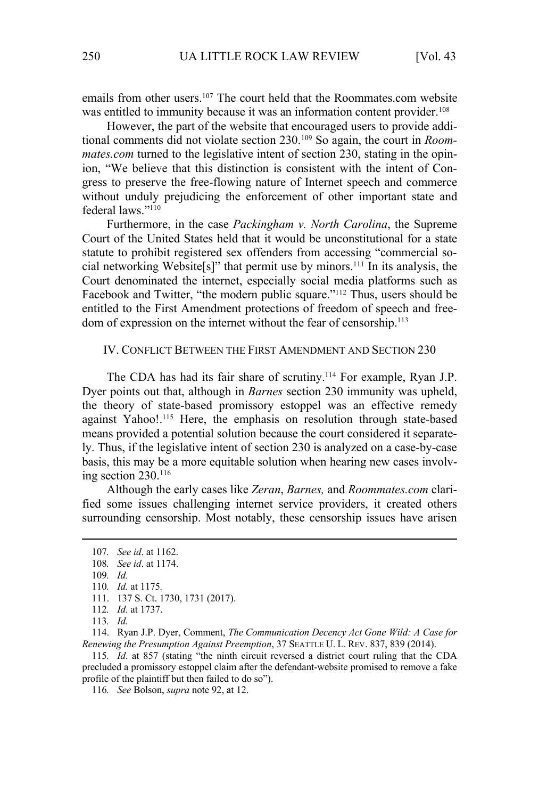emails from other users.107 The court held that the Roommates.com website was entitled to immunity because it was an information content provider.<sup>108</sup>

However, the part of the website that encouraged users to provide additional comments did not violate section 230.109 So again, the court in *Roommates.com* turned to the legislative intent of section 230, stating in the opinion, "We believe that this distinction is consistent with the intent of Congress to preserve the free-flowing nature of Internet speech and commerce without unduly prejudicing the enforcement of other important state and federal laws<sup>"110</sup>

Furthermore, in the case *Packingham v. North Carolina*, the Supreme Court of the United States held that it would be unconstitutional for a state statute to prohibit registered sex offenders from accessing "commercial social networking Website[s]" that permit use by minors.111 In its analysis, the Court denominated the internet, especially social media platforms such as Facebook and Twitter, "the modern public square."<sup>112</sup> Thus, users should be entitled to the First Amendment protections of freedom of speech and freedom of expression on the internet without the fear of censorship.<sup>113</sup>

# IV. CONFLICT BETWEEN THE FIRST AMENDMENT AND SECTION 230

The CDA has had its fair share of scrutiny.<sup>114</sup> For example, Ryan J.P. Dyer points out that, although in *Barnes* section 230 immunity was upheld, the theory of state-based promissory estoppel was an effective remedy against Yahoo!.<sup>115</sup> Here, the emphasis on resolution through state-based means provided a potential solution because the court considered it separately. Thus, if the legislative intent of section 230 is analyzed on a case-by-case basis, this may be a more equitable solution when hearing new cases involving section  $230$ <sup>116</sup>

Although the early cases like *Zeran*, *Barnes,* and *Roommates.com* clarified some issues challenging internet service providers, it created others surrounding censorship. Most notably, these censorship issues have arisen

114. Ryan J.P. Dyer, Comment, *The Communication Decency Act Gone Wild: A Case for Renewing the Presumption Against Preemption*, 37 SEATTLE U. L. REV. 837, 839 (2014).

115*. Id*. at 857 (stating "the ninth circuit reversed a district court ruling that the CDA precluded a promissory estoppel claim after the defendant-website promised to remove a fake profile of the plaintiff but then failed to do so").

116*. See* Bolson, *supra* note 92, at 12.

<sup>107</sup>*. See id*. at 1162.

<sup>108</sup>*. See id*. at 1174.

<sup>109</sup>*. Id.* 

<sup>110</sup>*. Id.* at 1175*.* 

<sup>111. 137</sup> S. Ct. 1730, 1731 (2017).

<sup>112</sup>*. Id*. at 1737.

<sup>113</sup>*. Id*.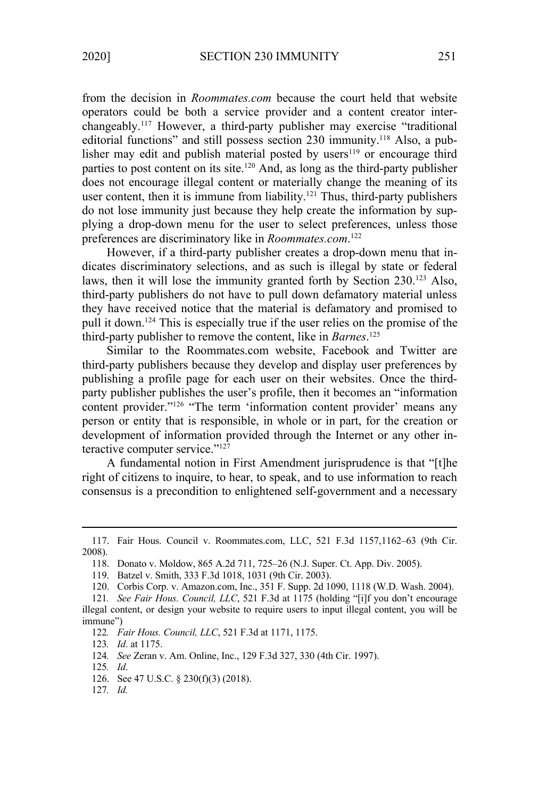from the decision in *Roommates.com* because the court held that website operators could be both a service provider and a content creator interchangeably.117 However, a third-party publisher may exercise "traditional editorial functions" and still possess section 230 immunity.<sup>118</sup> Also, a publisher may edit and publish material posted by users<sup>119</sup> or encourage third parties to post content on its site.120 And, as long as the third-party publisher does not encourage illegal content or materially change the meaning of its user content, then it is immune from liability.<sup>121</sup> Thus, third-party publishers do not lose immunity just because they help create the information by supplying a drop-down menu for the user to select preferences, unless those preferences are discriminatory like in *Roommates.com*. 122

However, if a third-party publisher creates a drop-down menu that indicates discriminatory selections, and as such is illegal by state or federal laws, then it will lose the immunity granted forth by Section 230.<sup>123</sup> Also, third-party publishers do not have to pull down defamatory material unless they have received notice that the material is defamatory and promised to pull it down.124 This is especially true if the user relies on the promise of the third-party publisher to remove the content, like in *Barnes*. 125

Similar to the Roommates.com website, Facebook and Twitter are third-party publishers because they develop and display user preferences by publishing a profile page for each user on their websites. Once the thirdparty publisher publishes the user's profile, then it becomes an "information content provider."126 "The term 'information content provider' means any person or entity that is responsible, in whole or in part, for the creation or development of information provided through the Internet or any other interactive computer service."<sup>127</sup>

A fundamental notion in First Amendment jurisprudence is that "[t]he right of citizens to inquire, to hear, to speak, and to use information to reach consensus is a precondition to enlightened self-government and a necessary

124*. See* Zeran v. Am. Online, Inc., 129 F.3d 327, 330 (4th Cir. 1997).

127*. Id.*

<sup>117.</sup> Fair Hous. Council v. Roommates.com, LLC, 521 F.3d 1157,1162–63 (9th Cir. 2008).

<sup>118.</sup> Donato v. Moldow, 865 A.2d 711, 725–26 (N.J. Super. Ct. App. Div. 2005).

<sup>119.</sup> Batzel v. Smith, 333 F.3d 1018, 1031 (9th Cir. 2003).

<sup>120.</sup> Corbis Corp. v. Amazon.com, Inc., 351 F. Supp. 2d 1090, 1118 (W.D. Wash. 2004).

<sup>121</sup>*. See Fair Hous. Council, LLC*, 521 F.3d at 1175 (holding "[i]f you don't encourage illegal content, or design your website to require users to input illegal content, you will be immune")

<sup>122</sup>*. Fair Hous. Council, LLC*, 521 F.3d at 1171, 1175.

<sup>123</sup>*. Id*. at 1175.

<sup>125</sup>*. Id*.

<sup>126.</sup> See 47 U.S.C. § 230(f)(3) (2018).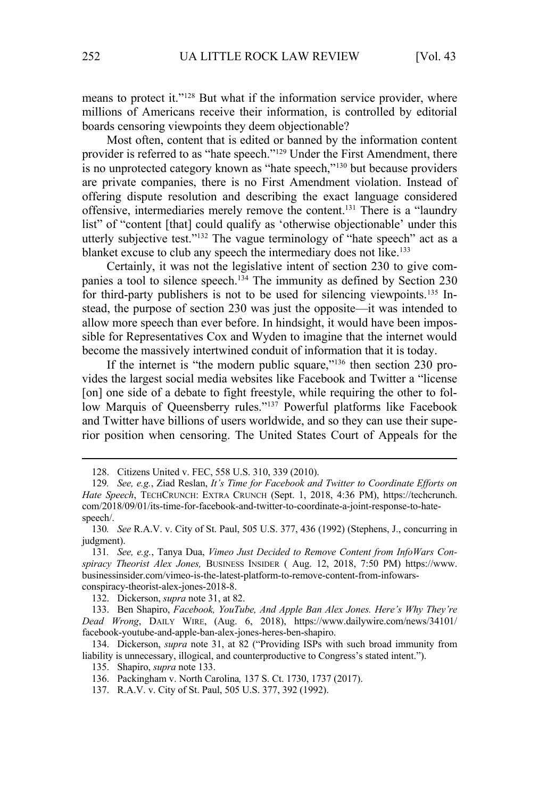means to protect it."<sup>128</sup> But what if the information service provider, where millions of Americans receive their information, is controlled by editorial boards censoring viewpoints they deem objectionable?

Most often, content that is edited or banned by the information content provider is referred to as "hate speech."129 Under the First Amendment, there is no unprotected category known as "hate speech,"130 but because providers are private companies, there is no First Amendment violation. Instead of offering dispute resolution and describing the exact language considered offensive, intermediaries merely remove the content.131 There is a "laundry list" of "content [that] could qualify as 'otherwise objectionable' under this utterly subjective test."132 The vague terminology of "hate speech" act as a blanket excuse to club any speech the intermediary does not like.<sup>133</sup>

Certainly, it was not the legislative intent of section 230 to give companies a tool to silence speech.<sup>134</sup> The immunity as defined by Section 230 for third-party publishers is not to be used for silencing viewpoints.<sup>135</sup> Instead, the purpose of section 230 was just the opposite—it was intended to allow more speech than ever before. In hindsight, it would have been impossible for Representatives Cox and Wyden to imagine that the internet would become the massively intertwined conduit of information that it is today.

If the internet is "the modern public square,"136 then section 230 provides the largest social media websites like Facebook and Twitter a "license [on] one side of a debate to fight freestyle, while requiring the other to follow Marquis of Queensberry rules."<sup>137</sup> Powerful platforms like Facebook and Twitter have billions of users worldwide, and so they can use their superior position when censoring. The United States Court of Appeals for the

137. R.A.V. v. City of St. Paul, 505 U.S. 377, 392 (1992).

<sup>128.</sup> Citizens United v. FEC, 558 U.S. 310, 339 (2010).

<sup>129</sup>*. See, e.g.*, Ziad Reslan, *It's Time for Facebook and Twitter to Coordinate Efforts on Hate Speech*, TECHCRUNCH: EXTRA CRUNCH (Sept. 1, 2018, 4:36 PM), https://techcrunch. com/2018/09/01/its-time-for-facebook-and-twitter-to-coordinate-a-joint-response-to-hatespeech/.

<sup>130</sup>*. See* R.A.V. v. City of St. Paul, 505 U.S. 377, 436 (1992) (Stephens, J., concurring in judgment).

<sup>131</sup>*. See, e.g.*, Tanya Dua, *Vimeo Just Decided to Remove Content from InfoWars Conspiracy Theorist Alex Jones,* BUSINESS INSIDER ( Aug. 12, 2018, 7:50 PM) https://www. businessinsider.com/vimeo-is-the-latest-platform-to-remove-content-from-infowarsconspiracy-theorist-alex-jones-2018-8.

<sup>132.</sup> Dickerson, *supra* note 31, at 82.

<sup>133.</sup> Ben Shapiro, *Facebook, YouTube, And Apple Ban Alex Jones. Here's Why They're Dead Wrong*, DAILY WIRE, (Aug. 6, 2018), https://www.dailywire.com/news/34101/ facebook-youtube-and-apple-ban-alex-jones-heres-ben-shapiro.

<sup>134.</sup> Dickerson, *supra* note 31, at 82 ("Providing ISPs with such broad immunity from liability is unnecessary, illogical, and counterproductive to Congress's stated intent.").

<sup>135.</sup> Shapiro, *supra* note 133.

<sup>136.</sup> Packingham v. North Carolina*,* 137 S. Ct. 1730, 1737 (2017).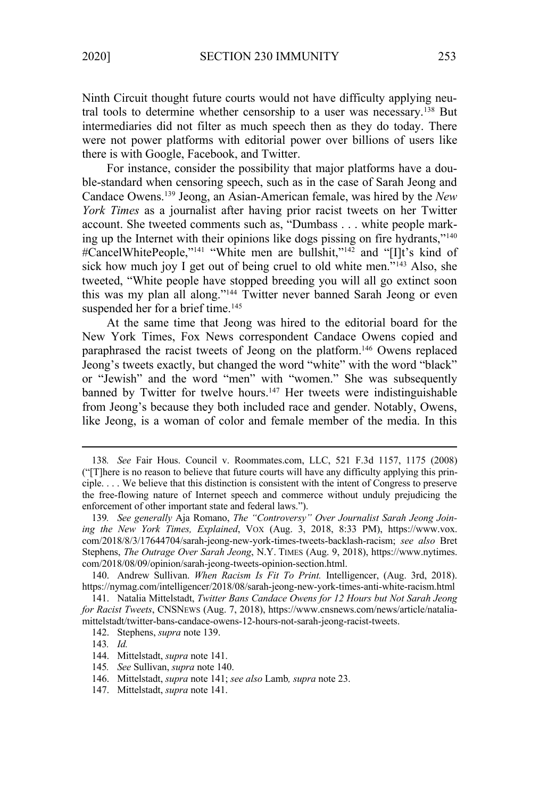Ninth Circuit thought future courts would not have difficulty applying neutral tools to determine whether censorship to a user was necessary.138 But intermediaries did not filter as much speech then as they do today. There were not power platforms with editorial power over billions of users like there is with Google, Facebook, and Twitter.

For instance, consider the possibility that major platforms have a double-standard when censoring speech, such as in the case of Sarah Jeong and Candace Owens.139 Jeong, an Asian-American female, was hired by the *New York Times* as a journalist after having prior racist tweets on her Twitter account. She tweeted comments such as, "Dumbass . . . white people marking up the Internet with their opinions like dogs pissing on fire hydrants,"140 #CancelWhitePeople,"<sup>141</sup> "White men are bullshit,"<sup>142</sup> and "[I]t's kind of sick how much joy I get out of being cruel to old white men."<sup>143</sup> Also, she tweeted, "White people have stopped breeding you will all go extinct soon this was my plan all along."144 Twitter never banned Sarah Jeong or even suspended her for a brief time.<sup>145</sup>

At the same time that Jeong was hired to the editorial board for the New York Times, Fox News correspondent Candace Owens copied and paraphrased the racist tweets of Jeong on the platform.146 Owens replaced Jeong's tweets exactly, but changed the word "white" with the word "black" or "Jewish" and the word "men" with "women." She was subsequently banned by Twitter for twelve hours.<sup>147</sup> Her tweets were indistinguishable from Jeong's because they both included race and gender. Notably, Owens, like Jeong, is a woman of color and female member of the media. In this

<sup>138</sup>*. See* Fair Hous. Council v. Roommates.com, LLC, 521 F.3d 1157, 1175 (2008) ("[T]here is no reason to believe that future courts will have any difficulty applying this principle. . . . We believe that this distinction is consistent with the intent of Congress to preserve the free-flowing nature of Internet speech and commerce without unduly prejudicing the enforcement of other important state and federal laws.").

<sup>139</sup>*. See generally* Aja Romano, *The "Controversy" Over Journalist Sarah Jeong Joining the New York Times, Explained*, VOX (Aug. 3, 2018, 8:33 PM), https://www.vox. com/2018/8/3/17644704/sarah-jeong-new-york-times-tweets-backlash-racism; *see also* Bret Stephens, *The Outrage Over Sarah Jeong*, N.Y. TIMES (Aug. 9, 2018), https://www.nytimes. com/2018/08/09/opinion/sarah-jeong-tweets-opinion-section.html.

<sup>140.</sup> Andrew Sullivan. *When Racism Is Fit To Print.* Intelligencer, (Aug. 3rd, 2018). https://nymag.com/intelligencer/2018/08/sarah-jeong-new-york-times-anti-white-racism.html

<sup>141.</sup> Natalia Mittelstadt, *Twitter Bans Candace Owens for 12 Hours but Not Sarah Jeong for Racist Tweets*, CNSNEWS (Aug. 7, 2018), https://www.cnsnews.com/news/article/nataliamittelstadt/twitter-bans-candace-owens-12-hours-not-sarah-jeong-racist-tweets.

<sup>142.</sup> Stephens, *supra* note 139.

<sup>143</sup>*. Id.*

<sup>144.</sup> Mittelstadt, *supra* note 141.

<sup>145</sup>*. See* Sullivan, *supra* note 140.

<sup>146.</sup> Mittelstadt, *supra* note 141; *see also* Lamb*, supra* note 23.

<sup>147.</sup> Mittelstadt, *supra* note 141.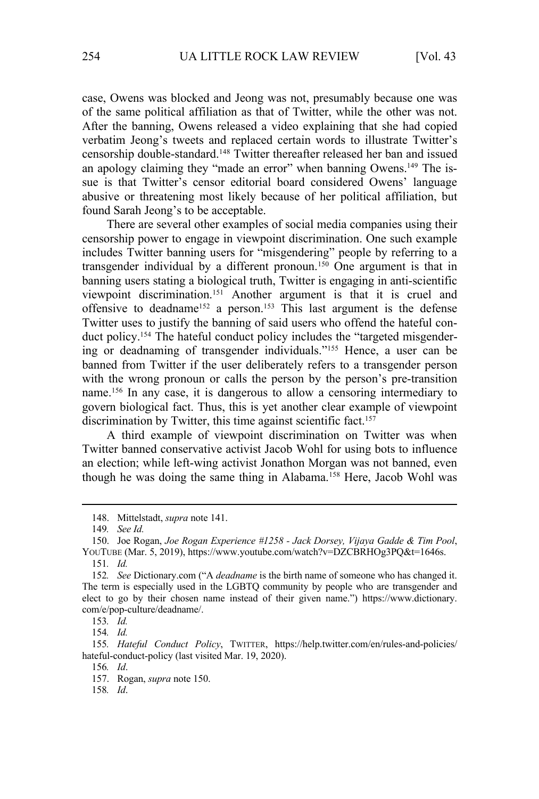case, Owens was blocked and Jeong was not, presumably because one was of the same political affiliation as that of Twitter, while the other was not. After the banning, Owens released a video explaining that she had copied verbatim Jeong's tweets and replaced certain words to illustrate Twitter's censorship double-standard.148 Twitter thereafter released her ban and issued an apology claiming they "made an error" when banning Owens.<sup>149</sup> The issue is that Twitter's censor editorial board considered Owens' language abusive or threatening most likely because of her political affiliation, but found Sarah Jeong's to be acceptable.

There are several other examples of social media companies using their censorship power to engage in viewpoint discrimination. One such example includes Twitter banning users for "misgendering" people by referring to a transgender individual by a different pronoun.<sup>150</sup> One argument is that in banning users stating a biological truth, Twitter is engaging in anti-scientific viewpoint discrimination.151 Another argument is that it is cruel and offensive to deadname<sup>152</sup> a person.<sup>153</sup> This last argument is the defense Twitter uses to justify the banning of said users who offend the hateful conduct policy.<sup>154</sup> The hateful conduct policy includes the "targeted misgendering or deadnaming of transgender individuals."155 Hence, a user can be banned from Twitter if the user deliberately refers to a transgender person with the wrong pronoun or calls the person by the person's pre-transition name.156 In any case, it is dangerous to allow a censoring intermediary to govern biological fact. Thus, this is yet another clear example of viewpoint discrimination by Twitter, this time against scientific fact.<sup>157</sup>

A third example of viewpoint discrimination on Twitter was when Twitter banned conservative activist Jacob Wohl for using bots to influence an election; while left-wing activist Jonathon Morgan was not banned, even though he was doing the same thing in Alabama.<sup>158</sup> Here, Jacob Wohl was

154*. Id.* 

158*. Id*.

<sup>148.</sup> Mittelstadt, *supra* note 141.

<sup>149</sup>*. See Id.*

<sup>150.</sup> Joe Rogan, *Joe Rogan Experience #1258 - Jack Dorsey, Vijaya Gadde & Tim Pool*, YOUTUBE (Mar. 5, 2019), https://www.youtube.com/watch?v=DZCBRHOg3PQ&t=1646s. 151*. Id.* 

<sup>152</sup>*. See* Dictionary.com ("A *deadname* is the birth name of someone who has changed it. The term is especially used in the LGBTQ community by people who are transgender and elect to go by their chosen name instead of their given name.") https://www.dictionary. com/e/pop-culture/deadname/.

<sup>153</sup>*. Id.* 

<sup>155</sup>*. Hateful Conduct Policy*, TWITTER, https://help.twitter.com/en/rules-and-policies/ hateful-conduct-policy (last visited Mar. 19, 2020).

<sup>156</sup>*. Id*.

<sup>157.</sup> Rogan, *supra* note 150.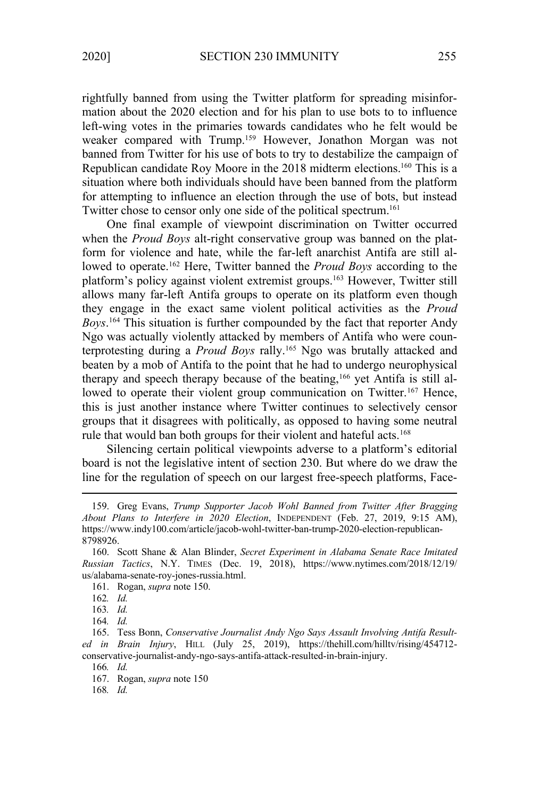rightfully banned from using the Twitter platform for spreading misinformation about the 2020 election and for his plan to use bots to to influence left-wing votes in the primaries towards candidates who he felt would be weaker compared with Trump.159 However, Jonathon Morgan was not banned from Twitter for his use of bots to try to destabilize the campaign of Republican candidate Roy Moore in the 2018 midterm elections.160 This is a situation where both individuals should have been banned from the platform for attempting to influence an election through the use of bots, but instead Twitter chose to censor only one side of the political spectrum.<sup>161</sup>

One final example of viewpoint discrimination on Twitter occurred when the *Proud Boys* alt-right conservative group was banned on the platform for violence and hate, while the far-left anarchist Antifa are still allowed to operate.162 Here, Twitter banned the *Proud Boys* according to the platform's policy against violent extremist groups.163 However, Twitter still allows many far-left Antifa groups to operate on its platform even though they engage in the exact same violent political activities as the *Proud Boys*. 164 This situation is further compounded by the fact that reporter Andy Ngo was actually violently attacked by members of Antifa who were counterprotesting during a *Proud Boys* rally.165 Ngo was brutally attacked and beaten by a mob of Antifa to the point that he had to undergo neurophysical therapy and speech therapy because of the beating,166 yet Antifa is still allowed to operate their violent group communication on Twitter.<sup>167</sup> Hence, this is just another instance where Twitter continues to selectively censor groups that it disagrees with politically, as opposed to having some neutral rule that would ban both groups for their violent and hateful acts.<sup>168</sup>

Silencing certain political viewpoints adverse to a platform's editorial board is not the legislative intent of section 230. But where do we draw the line for the regulation of speech on our largest free-speech platforms, Face-

<sup>159.</sup> Greg Evans, *Trump Supporter Jacob Wohl Banned from Twitter After Bragging About Plans to Interfere in 2020 Election*, INDEPENDENT (Feb. 27, 2019, 9:15 AM), https://www.indy100.com/article/jacob-wohl-twitter-ban-trump-2020-election-republican-8798926.

<sup>160.</sup> Scott Shane & Alan Blinder, *Secret Experiment in Alabama Senate Race Imitated Russian Tactics*, N.Y. TIMES (Dec. 19, 2018), https://www.nytimes.com/2018/12/19/ us/alabama-senate-roy-jones-russia.html.

<sup>161.</sup> Rogan, *supra* note 150.

<sup>162</sup>*. Id.*

<sup>163</sup>*. Id.*

<sup>164</sup>*. Id.*

<sup>165.</sup> Tess Bonn, *Conservative Journalist Andy Ngo Says Assault Involving Antifa Resulted in Brain Injury*, HILL (July 25, 2019), https://thehill.com/hilltv/rising/454712 conservative-journalist-andy-ngo-says-antifa-attack-resulted-in-brain-injury. 166*. Id.* 

<sup>167.</sup> Rogan, *supra* note 150

<sup>168</sup>*. Id.*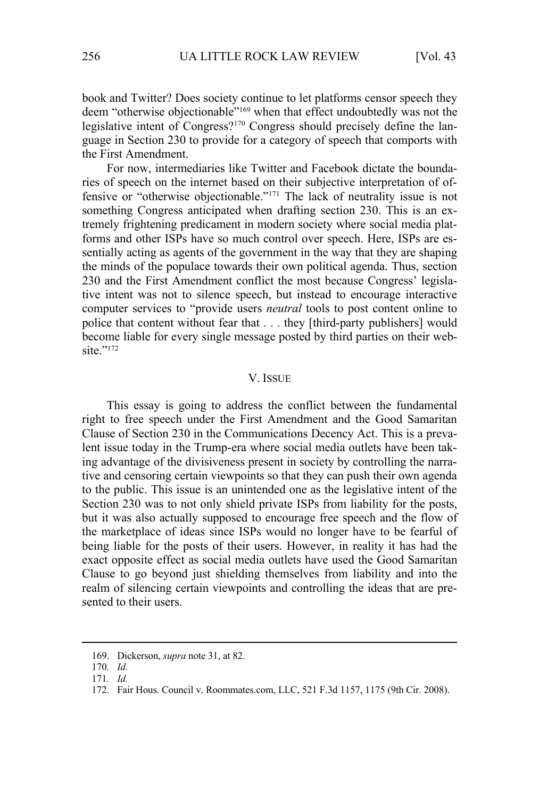book and Twitter? Does society continue to let platforms censor speech they deem "otherwise objectionable"<sup>169</sup> when that effect undoubtedly was not the legislative intent of Congress?170 Congress should precisely define the language in Section 230 to provide for a category of speech that comports with the First Amendment.

For now, intermediaries like Twitter and Facebook dictate the boundaries of speech on the internet based on their subjective interpretation of offensive or "otherwise objectionable."171 The lack of neutrality issue is not something Congress anticipated when drafting section 230. This is an extremely frightening predicament in modern society where social media platforms and other ISPs have so much control over speech. Here, ISPs are essentially acting as agents of the government in the way that they are shaping the minds of the populace towards their own political agenda. Thus, section 230 and the First Amendment conflict the most because Congress' legislative intent was not to silence speech, but instead to encourage interactive computer services to "provide users *neutral* tools to post content online to police that content without fear that . . . they [third-party publishers] would become liable for every single message posted by third parties on their website."<sup>172</sup>

# V. ISSUE

This essay is going to address the conflict between the fundamental right to free speech under the First Amendment and the Good Samaritan Clause of Section 230 in the Communications Decency Act. This is a prevalent issue today in the Trump-era where social media outlets have been taking advantage of the divisiveness present in society by controlling the narrative and censoring certain viewpoints so that they can push their own agenda to the public. This issue is an unintended one as the legislative intent of the Section 230 was to not only shield private ISPs from liability for the posts, but it was also actually supposed to encourage free speech and the flow of the marketplace of ideas since ISPs would no longer have to be fearful of being liable for the posts of their users. However, in reality it has had the exact opposite effect as social media outlets have used the Good Samaritan Clause to go beyond just shielding themselves from liability and into the realm of silencing certain viewpoints and controlling the ideas that are presented to their users.

<sup>169.</sup> Dickerson, *supra* note 31, at 82.

<sup>170</sup>*. Id.*

<sup>171</sup>*. Id.*

<sup>172.</sup> Fair Hous. Council v. Roommates.com, LLC, 521 F.3d 1157, 1175 (9th Cir. 2008).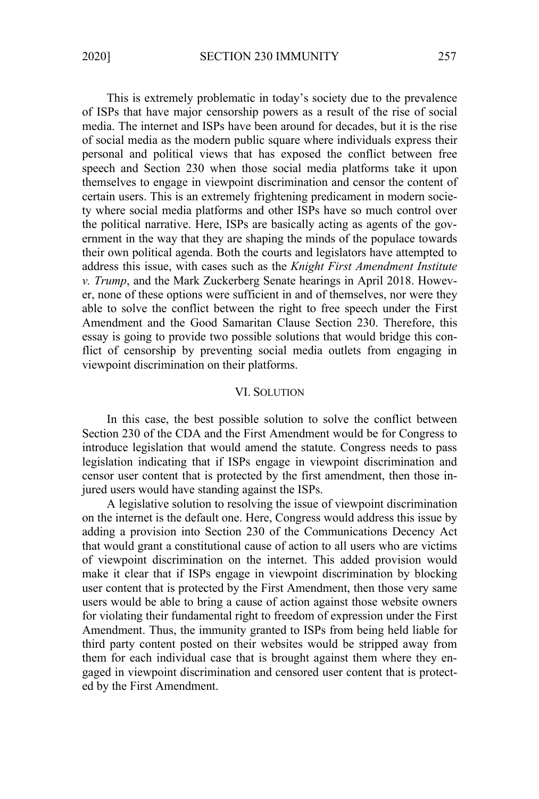This is extremely problematic in today's society due to the prevalence of ISPs that have major censorship powers as a result of the rise of social media. The internet and ISPs have been around for decades, but it is the rise of social media as the modern public square where individuals express their personal and political views that has exposed the conflict between free speech and Section 230 when those social media platforms take it upon themselves to engage in viewpoint discrimination and censor the content of certain users. This is an extremely frightening predicament in modern society where social media platforms and other ISPs have so much control over the political narrative. Here, ISPs are basically acting as agents of the government in the way that they are shaping the minds of the populace towards their own political agenda. Both the courts and legislators have attempted to address this issue, with cases such as the *Knight First Amendment Institute v. Trump*, and the Mark Zuckerberg Senate hearings in April 2018. However, none of these options were sufficient in and of themselves, nor were they able to solve the conflict between the right to free speech under the First Amendment and the Good Samaritan Clause Section 230. Therefore, this essay is going to provide two possible solutions that would bridge this conflict of censorship by preventing social media outlets from engaging in viewpoint discrimination on their platforms.

# VI. SOLUTION

In this case, the best possible solution to solve the conflict between Section 230 of the CDA and the First Amendment would be for Congress to introduce legislation that would amend the statute. Congress needs to pass legislation indicating that if ISPs engage in viewpoint discrimination and censor user content that is protected by the first amendment, then those injured users would have standing against the ISPs.

A legislative solution to resolving the issue of viewpoint discrimination on the internet is the default one. Here, Congress would address this issue by adding a provision into Section 230 of the Communications Decency Act that would grant a constitutional cause of action to all users who are victims of viewpoint discrimination on the internet. This added provision would make it clear that if ISPs engage in viewpoint discrimination by blocking user content that is protected by the First Amendment, then those very same users would be able to bring a cause of action against those website owners for violating their fundamental right to freedom of expression under the First Amendment. Thus, the immunity granted to ISPs from being held liable for third party content posted on their websites would be stripped away from them for each individual case that is brought against them where they engaged in viewpoint discrimination and censored user content that is protected by the First Amendment.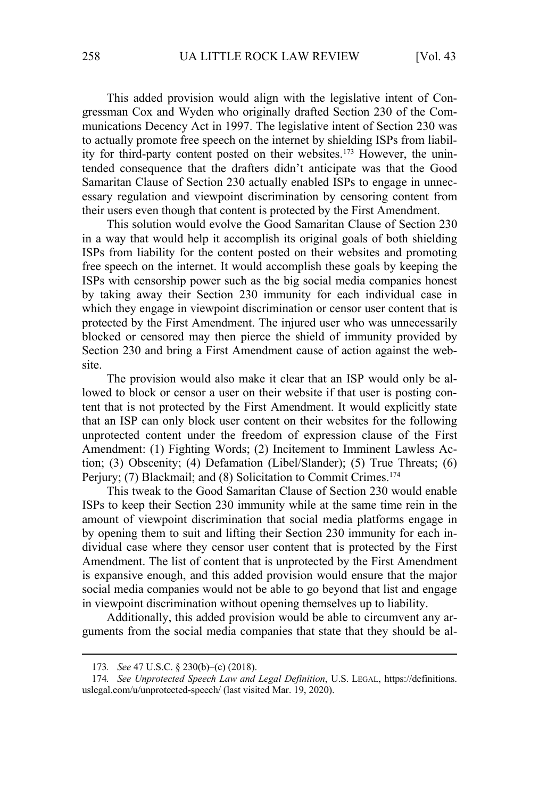This added provision would align with the legislative intent of Congressman Cox and Wyden who originally drafted Section 230 of the Communications Decency Act in 1997. The legislative intent of Section 230 was to actually promote free speech on the internet by shielding ISPs from liability for third-party content posted on their websites.<sup>173</sup> However, the unintended consequence that the drafters didn't anticipate was that the Good Samaritan Clause of Section 230 actually enabled ISPs to engage in unnecessary regulation and viewpoint discrimination by censoring content from their users even though that content is protected by the First Amendment.

This solution would evolve the Good Samaritan Clause of Section 230 in a way that would help it accomplish its original goals of both shielding ISPs from liability for the content posted on their websites and promoting free speech on the internet. It would accomplish these goals by keeping the ISPs with censorship power such as the big social media companies honest by taking away their Section 230 immunity for each individual case in which they engage in viewpoint discrimination or censor user content that is protected by the First Amendment. The injured user who was unnecessarily blocked or censored may then pierce the shield of immunity provided by Section 230 and bring a First Amendment cause of action against the website.

The provision would also make it clear that an ISP would only be allowed to block or censor a user on their website if that user is posting content that is not protected by the First Amendment. It would explicitly state that an ISP can only block user content on their websites for the following unprotected content under the freedom of expression clause of the First Amendment: (1) Fighting Words; (2) Incitement to Imminent Lawless Action; (3) Obscenity; (4) Defamation (Libel/Slander); (5) True Threats; (6) Perjury; (7) Blackmail; and (8) Solicitation to Commit Crimes.<sup>174</sup>

This tweak to the Good Samaritan Clause of Section 230 would enable ISPs to keep their Section 230 immunity while at the same time rein in the amount of viewpoint discrimination that social media platforms engage in by opening them to suit and lifting their Section 230 immunity for each individual case where they censor user content that is protected by the First Amendment. The list of content that is unprotected by the First Amendment is expansive enough, and this added provision would ensure that the major social media companies would not be able to go beyond that list and engage in viewpoint discrimination without opening themselves up to liability.

Additionally, this added provision would be able to circumvent any arguments from the social media companies that state that they should be al-

<sup>173</sup>*. See* 47 U.S.C. § 230(b)–(c) (2018).

<sup>174</sup>*. See Unprotected Speech Law and Legal Definition*, U.S. LEGAL, https://definitions. uslegal.com/u/unprotected-speech/ (last visited Mar. 19, 2020).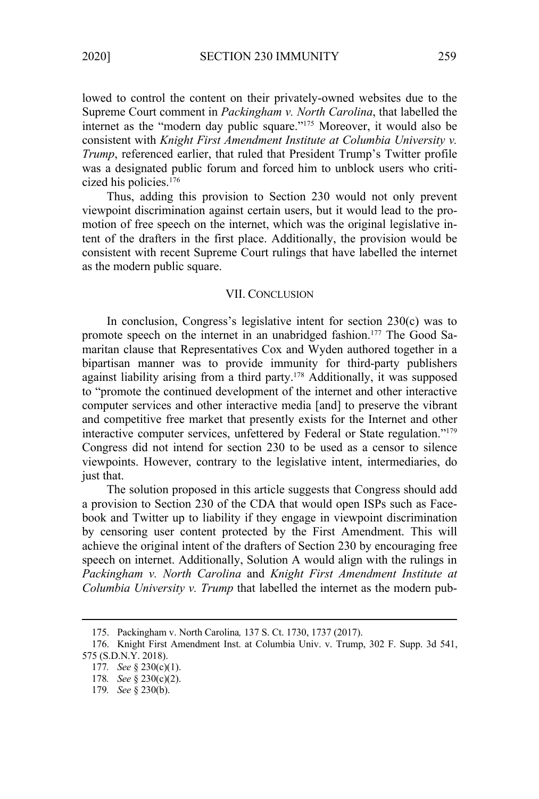lowed to control the content on their privately-owned websites due to the Supreme Court comment in *Packingham v. North Carolina*, that labelled the internet as the "modern day public square."175 Moreover, it would also be consistent with *Knight First Amendment Institute at Columbia University v. Trump*, referenced earlier, that ruled that President Trump's Twitter profile was a designated public forum and forced him to unblock users who criticized his policies.176

Thus, adding this provision to Section 230 would not only prevent viewpoint discrimination against certain users, but it would lead to the promotion of free speech on the internet, which was the original legislative intent of the drafters in the first place. Additionally, the provision would be consistent with recent Supreme Court rulings that have labelled the internet as the modern public square.

#### VII. CONCLUSION

In conclusion, Congress's legislative intent for section 230(c) was to promote speech on the internet in an unabridged fashion.<sup>177</sup> The Good Samaritan clause that Representatives Cox and Wyden authored together in a bipartisan manner was to provide immunity for third-party publishers against liability arising from a third party.<sup>178</sup> Additionally, it was supposed to "promote the continued development of the internet and other interactive computer services and other interactive media [and] to preserve the vibrant and competitive free market that presently exists for the Internet and other interactive computer services, unfettered by Federal or State regulation."179 Congress did not intend for section 230 to be used as a censor to silence viewpoints. However, contrary to the legislative intent, intermediaries, do just that.

The solution proposed in this article suggests that Congress should add a provision to Section 230 of the CDA that would open ISPs such as Facebook and Twitter up to liability if they engage in viewpoint discrimination by censoring user content protected by the First Amendment. This will achieve the original intent of the drafters of Section 230 by encouraging free speech on internet. Additionally, Solution A would align with the rulings in *Packingham v. North Carolina* and *Knight First Amendment Institute at Columbia University v. Trump* that labelled the internet as the modern pub-

<sup>175.</sup> Packingham v. North Carolina*,* 137 S. Ct. 1730, 1737 (2017).

<sup>176.</sup> Knight First Amendment Inst. at Columbia Univ. v. Trump, 302 F. Supp. 3d 541, 575 (S.D.N.Y. 2018).

<sup>177</sup>*. See* § 230(c)(1).

<sup>178</sup>*. See* § 230(c)(2).

<sup>179</sup>*. See* § 230(b).